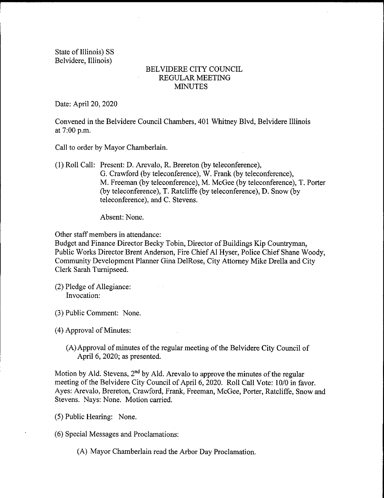State of Illinois) SS Belvidere, Illinois)

## BELVIDERE CITY COUNCIL REGULAR MEETING MINUTES

Date: April 20, 2020

Convened in the Belvidere Council Chambers, 401 Whitney Blvd, Belvidere Illinois at 7:00 p.m.

Call to order by Mayor Chamberlain.

1) Roll Call: Present: D. Arevalo, R. Brereton ( by teleconference), G. Crawford (by teleconference), W. Frank (by teleconference), M. Freeman (by teleconference), M. McGee (by teleconference), T. Porter (by teleconference), T. Ratcliffe (by teleconference), D. Snow (by teleconference), and C. Stevens.

Absent: None.

Other staff members in attendance:

Budget and Finance Director Becky Tobin, Director of Buildings Kip Countryman, Public Works Director Brent Anderson, Fire Chief Al Hyser, Police Chief Shane Woody, Community Development Planner Gina DelRose, City Attorney Mike Drella and City Clerk Sarah Turnipseed.

2) Pledge of Allegiance: Invocation:

3) Public Comment: None.

4) Approval of Minutes:

A) Approval of minutes of the regular meeting of the Belvidere City Council of April 6, 2020; as presented.

Motion by Ald. Stevens,  $2<sup>nd</sup>$  by Ald. Arevalo to approve the minutes of the regular meeting of the Belvidere City Council of April 6, 2020. Roll Call Vote: 10/0 in favor. Ayes: Arevalo, Brereton, Crawford, Frank, Freeman, McGee, Porter, Ratcliffe, Snow and Stevens. Nays: None. Motion carried.

5) Public Hearing: None.

6) Special Messages and Proclamations:

A) Mayor Chamberlain read the Arbor Day Proclamation.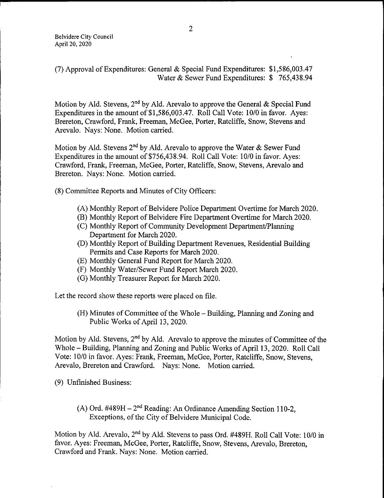7) Approval of Expenditures: General & Special Fund Expenditures: \$ 1, 586, 003. 47 Water & Sewer Fund Expenditures: \$765,438.94

Motion by Ald. Stevens, 2<sup>nd</sup> by Ald. Arevalo to approve the General & Special Fund Expenditures in the amount of  $$1,586,003.47$ . Roll Call Vote: 10/0 in favor. Ayes: Brereton, Crawford, Frank, Freeman, McGee, Porter, Ratcliffe, Snow, Stevens and Arevalo. Nays: None. Motion carried.

Motion by Ald. Stevens 2<sup>nd</sup> by Ald. Arevalo to approve the Water & Sewer Fund Expenditures in the amount of \$756, 438.94. Roll Call Vote: 10/0 in favor. Ayes: Crawford, Frank, Freeman, McGee, Porter, Ratcliffe, Snow, Stevens, Arevalo and Brereton. Nays: None. Motion carried.

8) Committee Reports and Minutes of City Officers:

- (A) Monthly Report of Belvidere Police Department Overtime for March 2020.
- B) Monthly Report of Belvidere Fire Department Overtime for March 2020.
- C) Monthly Report of Community Development Department/ Planning Department for March 2020.
- D) Monthly Report of Building Department Revenues, Residential Building Permits and Case Reports for March 2020.
- E) Monthly General Fund Report for March 2020.
- F) Monthly Water/ Sewer Fund Report March 2020.
- G) Monthly Treasurer Report for March 2020.

Let the record show these reports were placed on file.

H) Minutes of Committee of the Whole— Building, Planning and Zoning and Public Works of April 13, 2020.

Motion by Ald. Stevens, 2<sup>nd</sup> by Ald. Arevalo to approve the minutes of Committee of the Whole— Building, Planning and Zoning and Public Works of April 13, 2020. Roll Call Vote: 10/0 in favor. Ayes: Frank, Freeman, McGee, Porter, Ratcliffe, Snow, Stevens, Arevalo, Brereton and Crawford. Nays: None. Motion carried.

9) Unfinished Business:

(A) Ord.  $\#489H - 2^{nd}$  Reading: An Ordinance Amending Section 110-2, Exceptions, of the City of Belvidere Municipal Code.

Motion by Ald. Arevalo, 2<sup>nd</sup> by Ald. Stevens to pass Ord. #489H. Roll Call Vote: 10/0 in favor. Ayes: Freeman, McGee, Porter, Ratcliffe, Snow, Stevens, Arevalo, Brereton, Crawford and Frank. Nays: None. Motion carried.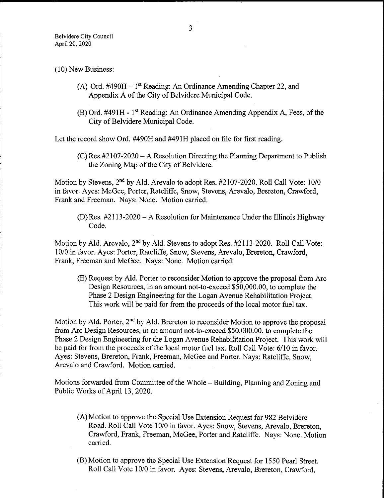## 10) New Business:

- (A) Ord. #490H  $-1<sup>st</sup>$  Reading: An Ordinance Amending Chapter 22, and Appendix A of the City of Belvidere Municipal Code.
- $(B)$  Ord. #491 H 1<sup>st</sup> Reading: An Ordinance Amending Appendix A, Fees, of the City of Belvidere Municipal Code.

Let the record show Ord. #490H and #491H placed on file for first reading.

 $(C)$  Res.#2107-2020 – A Resolution Directing the Planning Department to Publish the Zoning Map of the City of Belvidere.

Motion by Stevens, 2<sup>nd</sup> by Ald. Arevalo to adopt Res. #2107-2020. Roll Call Vote: 10/0 in favor. Ayes: McGee, Porter, Ratcliffe, Snow, Stevens, Arevalo, Brereton, Crawford, Frank and Freeman. Nays: None. Motion carried.

 $(D)$  Res. #2113-2020 – A Resolution for Maintenance Under the Illinois Highway Code.

Motion by Ald. Arevalo,  $2<sup>nd</sup>$  by Ald. Stevens to adopt Res.  $#2113-2020$ . Roll Call Vote: 10/0 in favor. Ayes: Porter, Ratcliffe, Snow, Stevens, Arevalo, Brereton, Crawford, Frank, Freeman and McGee. Nays: None. Motion carried.

E) Request by Ald. Porter to reconsider Motion to approve the proposal from Arc Design Resources, in an amount not-to-exceed \$50,000.00, to complete the Phase 2 Design Engineering for the Logan Avenue Rehabilitation Project. This work will be paid for from the proceeds of the local motor fuel tax.

Motion by Ald. Porter,  $2<sup>nd</sup>$  by Ald. Brereton to reconsider Motion to approve the proposal from Arc Design Resources, in an amount not-to-exceed \$50,000.00, to complete the Phase <sup>2</sup> Design Engineering for the Logan Avenue Rehabilitation Project. This work will be paid for from the proceeds of the local motor fuel tax. Roll Call Vote: 6/10 in favor. Ayes: Stevens, Brereton, Frank, Freeman, McGee and Porter. Nays: Ratcliffe, Snow, Arevalo and Crawford. Motion carried.

Motions forwarded from Committee of the Whole— Building, Planning and Zoning and Public Works of April 13, 2020.

- A) Motion to approve the Special Use Extension Request for 982 Belvidere Road. Roll Call Vote 10/0 in favor. Ayes: Snow, Stevens, Arevalo, Brereton, Crawford, Frank, Freeman, McGee, Porter and Ratcliffe. Nays: None. Motion carried.
- B) Motion to approve the Special Use Extension Request for 1550 Pearl Street. Roll Call Vote 10/0 in favor. Ayes: Stevens, Arevalo, Brereton, Crawford,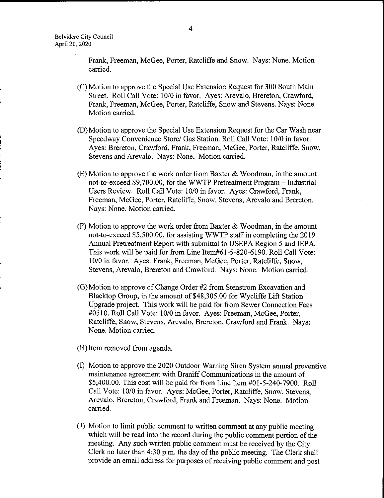Frank, Freeman, McGee, Porter, Ratcliffe and Snow. Nays: None. Motion carried.

- C) Motion to approve the Special Use Extension Request for 300 SouthMain Street. Roll Call Vote: 10/0 in favor. Ayes: Arevalo, Brereton, Crawford, Frank, Freeman, McGee, Porter, Ratcliffe, Snow and Stevens. Nays: None. Motion carried.
- D) Motion to approve the Special Use Extension Request for the Car Wash near Speedway Convenience Store/ Gas Station. Roll Call Vote: 10/0 in favor. Ayes: Brereton, Crawford, Frank, Freeman, McGee, Porter, Ratcliffe, Snow, Stevens and Arevalo. Nays: None. Motion carried.
- $E$ ) Motion to approve the work order from Baxter & Woodman, in the amount not-to-exceed \$9,700.00, for the WWTP Pretreatment Program—Industrial Users Review. Roll Call Vote: 10/0 in favor. Ayes: Crawford, Frank, Freeman, McGee, Porter, Ratcliffe, Snow, Stevens, Arevalo and Brereton. Nays: None. Motion carried.
- $(F)$  Motion to approve the work order from Baxter & Woodman, in the amount not-to-exceed \$5,500.00, for assisting WWTP staff in completing the 2019 Annual Pretreatment Report with submittal to USEPA Region 5 and IEPA. This work will be paid for from Line Item#61-5-820-6190. Roll Call Vote: 10/0 in favor. Ayes: Frank, Freeman, McGee, Porter, Ratcliffe, Snow, Stevens, Arevalo, Brereton and Crawford. Nays: None. Motion carried.
- $(G)$  Motion to approve of Change Order #2 from Stenstrom Excavation and Blacktop Group, in the amount of \$48,305.00 for Wycliffe Lift Station Upgrade project. This work will be paid for from Sewer Connection Fees #0510. Roll Call Vote: 10/0 in favor. Ayes: Freeman, McGee, Porter, Ratcliffe, Snow, Stevens, Arevalo, Brereton, Crawford and Frank. Nays: None. Motion carried.

H) Item removed from agenda.

- I) Motion to approve the 2020 Outdoor Warning Siren System annual preventive maintenance agreement with Braniff Communications in the amount of \$5,400.00. This cost will be paid for from Line Item  $\#01-5-240-7900$ . Roll Call Vote: 10/0 in favor. Ayes: McGee, Porter, Ratcliffe, Snow, Stevens, Arevalo, Brereton, Crawford, Frank and Freeman. Nays: None. Motion carried.
- J) Motion to limit public comment to written comment at any public meeting which will be read into the record during the public comment portion of the meeting. Any such written public comment must be received by the City Clerk no later than 4:30 p.m. the day of the public meeting. The Clerk shall provide an email address for purposes of receiving public comment and post